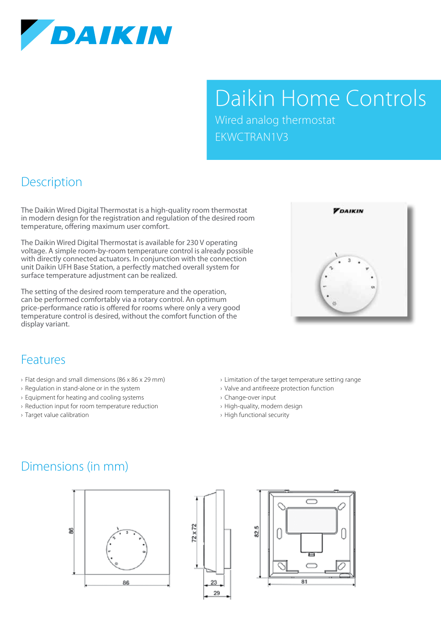

Wired analog thermostat EKWCTRAN1V3

## **Description**

The Daikin Wired Digital Thermostat is a high-quality room thermostat in modern design for the registration and regulation of the desired room temperature, offering maximum user comfort.

The Daikin Wired Digital Thermostat is available for 230 V operating voltage. A simple room-by-room temperature control is already possible with directly connected actuators. In conjunction with the connection unit Daikin UFH Base Station, a perfectly matched overall system for surface temperature adjustment can be realized.

The setting of the desired room temperature and the operation, can be performed comfortably via a rotary control. An optimum price-performance ratio is offered for rooms where only a very good temperature control is desired, without the comfort function of the display variant.



### Features

- › Flat design and small dimensions (86 x 86 x 29 mm)
- › Regulation in stand-alone or in the system
- › Equipment for heating and cooling systems
- › Reduction input for room temperature reduction
- › Target value calibration
- › Limitation of the target temperature setting range
- › Valve and antifreeze protection function
- › Change-over input
- › High-quality, modern design
- › High functional security

### Dimensions (in mm)





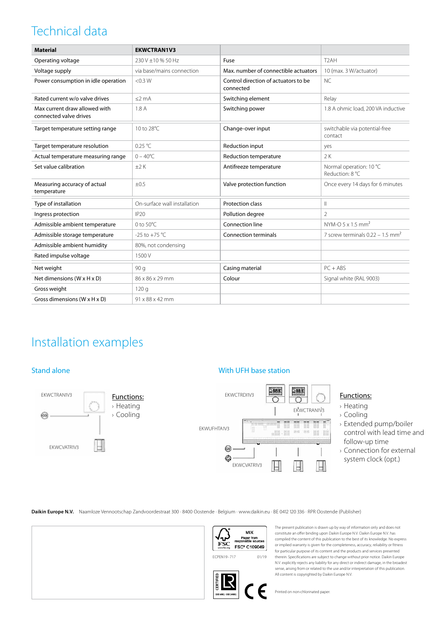| <b>Material</b>                                         | <b>EKWCTRAN1V3</b>           |                                                   |                                                |
|---------------------------------------------------------|------------------------------|---------------------------------------------------|------------------------------------------------|
| Operating voltage                                       | 230 V ±10 % 50 Hz            | Fuse                                              | T <sub>2</sub> AH                              |
| Voltage supply                                          | via base/mains connection    | Max, number of connectible actuators              | 10 (max. 3 W/actuator)                         |
| Power consumption in idle operation                     | < 0.3 W                      | Control direction of actuators to be<br>connected | <b>NC</b>                                      |
| Rated current w/o valve drives                          | $\leq$ 2 mA                  | Switching element                                 | Relay                                          |
| Max current draw allowed with<br>connected valve drives | 1.8A                         | Switching power                                   | 1.8 A ohmic load, 200 VA inductive             |
| Target temperature setting range                        | 10 to 28°C                   | Change-over input                                 | switchable via potential-free<br>contact       |
| Target temperature resolution                           | 0.25 °C                      | Reduction input                                   | yes                                            |
| Actual temperature measuring range                      | $0 - 40^{\circ}$ C           | Reduction temperature                             | 2K                                             |
| Set value calibration                                   | ±2K                          | Antifreeze temperature                            | Normal operation: 10 °C<br>Reduction: 8 °C     |
| Measuring accuracy of actual<br>temperature             | $\pm 0.5$                    | Valve protection function                         | Once every 14 days for 6 minutes               |
| Type of installation                                    | On-surface wall installation | <b>Protection class</b>                           | $\mid \mid$                                    |
| Ingress protection                                      | IP20                         | Pollution degree                                  | $\overline{2}$                                 |
| Admissible ambient temperature                          | 0 to $50^{\circ}$ C          | Connection line                                   | NYM-O $5 \times 1.5$ mm <sup>2</sup>           |
| Admissible storage temperature                          | $-25$ to $+75$ °C            | <b>Connection terminals</b>                       | 7 screw terminals $0.22 - 1.5$ mm <sup>2</sup> |
| Admissible ambient humidity                             | 80%, not condensing          |                                                   |                                                |
| Rated impulse voltage                                   | 1500 V                       |                                                   |                                                |
| Net weight                                              | 90q                          | Casing material                                   | $PC + ABS$                                     |
| Net dimensions ( $W \times H \times D$ )                | 86 x 86 x 29 mm              | Colour                                            | Signal white (RAL 9003)                        |
| Gross weight                                            | 120q                         |                                                   |                                                |
| Gross dimensions ( $W \times H \times D$ )              | 91 x 88 x 42 mm              |                                                   |                                                |

### Installation examples

### Stand alone



### With UFH base station



### Functions:

- › Heating
- › Cooling
- › Extended pump/boiler control with lead time and follow-up time
- › Connection for external system clock (opt.)

Daikin Europe N.V. Naamloze Vennootschap Zandvoordestraat 300 · 8400 Oostende · Belgium · www.daikin.eu · BE 0412 120 336 · RPR Oostende (Publisher)







┡

The present publication is drawn up by way of information only and does not constitute an offer binding upon Daikin Europe N.V. Daikin Europe N.V. has compiled the content of this publication to the best of its knowledge. No express or implied warranty is given for the completeness, accuracy, reliability or fitness for particular purpose of its content and the products and services presented therein. Specifications are subject to change without prior notice. Daikin Europe N.V. explicitly rejects any liability for any direct or indirect damage, in the broadest sense, arising from or related to the use and/or interpretation of this publication. All content is copyrighted by Daikin Europe N.V.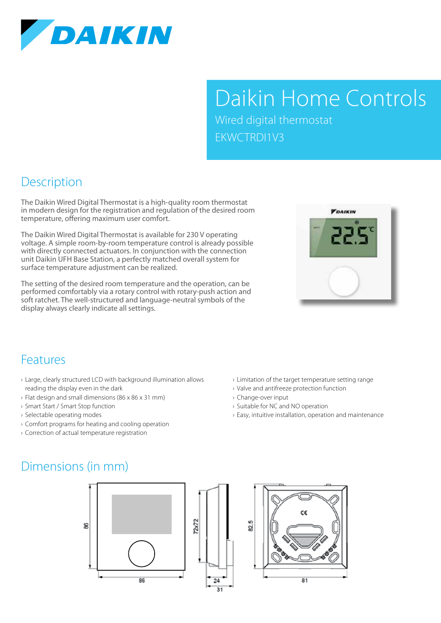

Wired digital thermostat EKWCTRDI1V3

## **Description**

The Daikin Wired Digital Thermostat is a high-quality room thermostat in modern design for the registration and regulation of the desired room temperature, offering maximum user comfort.

The Daikin Wired Digital Thermostat is available for 230 V operating voltage. A simple room-by-room temperature control is already possible with directly connected actuators. In conjunction with the connection unit Daikin UFH Base Station, a perfectly matched overall system for surface temperature adjustment can be realized.

The setting of the desired room temperature and the operation, can be performed comfortably via a rotary control with rotary-push action and soft ratchet. The well-structured and language-neutral symbols of the display always clearly indicate all settings.



### Features

- › Large, clearly structured LCD with background illumination allows reading the display even in the dark
- › Flat design and small dimensions (86 x 86 x 31 mm)
- › Smart Start / Smart Stop function
- › Selectable operating modes
- › Comfort programs for heating and cooling operation
- › Correction of actual temperature registration
- › Limitation of the target temperature setting range
- › Valve and antifreeze protection function
- › Change-over input
- › Suitable for NC and NO operation
- › Easy, intuitive installation, operation and maintenance

### Dimensions (in mm)



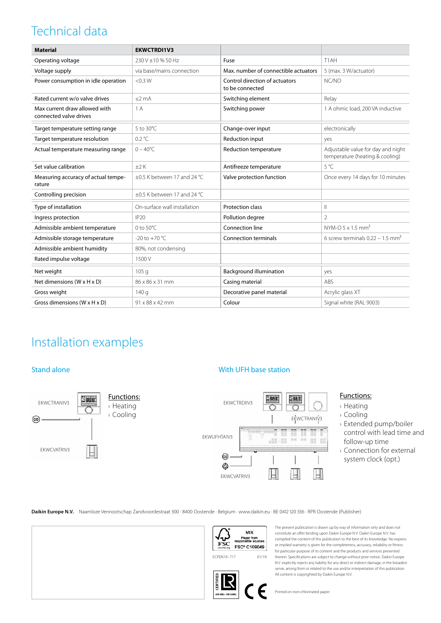| <b>Material</b>                                         | <b>EKWCTRDI1V3</b>                     |                                                   |                                                                       |
|---------------------------------------------------------|----------------------------------------|---------------------------------------------------|-----------------------------------------------------------------------|
| Operating voltage                                       | 230 V ±10 % 50 Hz                      | Fuse                                              | T1AH                                                                  |
| Voltage supply                                          | via base/mains connection              | Max. number of connectible actuators              | 5 (max. 3 W/actuator)                                                 |
| Power consumption in idle operation                     | < 0.3 W                                | Control direction of actuators<br>to be connected | NC/NO                                                                 |
| Rated current w/o valve drives                          | $<$ 2 mA                               | Switching element                                 | Relay                                                                 |
| Max current draw allowed with<br>connected valve drives | 1A                                     | Switching power                                   | 1 A ohmic load, 200 VA inductive                                      |
| Target temperature setting range                        | $5$ to $30^{\circ}$ C.                 | Change-over input                                 | electronically                                                        |
| Target temperature resolution                           | 0.2 °C                                 | <b>Reduction input</b>                            | yes                                                                   |
| Actual temperature measuring range                      | $0 - 40^{\circ}$ C                     | Reduction temperature                             | Adjustable value for day and night<br>temperature (heating & cooling) |
| Set value calibration                                   | ±2K                                    | Antifreeze temperature                            | 5 °C                                                                  |
| Measuring accuracy of actual tempe-<br>rature           | ±0.5 K between 17 and 24 °C            | Valve protection function                         | Once every 14 days for 10 minutes                                     |
| Controlling precision                                   | +0.5 K between 17 and 24 $^{\circ}$ C. |                                                   |                                                                       |
| Type of installation                                    | On-surface wall installation           | <b>Protection class</b>                           | $\mathop{  }$                                                         |
| Ingress protection                                      | IP20                                   | Pollution degree                                  | $\overline{2}$                                                        |
| Admissible ambient temperature                          | 0 to $50^{\circ}$ C                    | Connection line                                   | NYM-O $5 \times 1.5$ mm <sup>2</sup>                                  |
| Admissible storage temperature                          | -20 to +70 $^{\circ}$ C                | <b>Connection terminals</b>                       | 6 screw terminals $0.22 - 1.5$ mm <sup>2</sup>                        |
| Admissible ambient humidity                             | 80%, not condensing                    |                                                   |                                                                       |
| Rated impulse voltage                                   | 1500 V                                 |                                                   |                                                                       |
| Net weight                                              | 105q                                   | <b>Background illumination</b>                    | yes                                                                   |
| Net dimensions (W x H x D)                              | 86 x 86 x 31 mm                        | Casing material                                   | ABS                                                                   |
| Gross weight                                            | 140q                                   | Decorative panel material                         | Acrylic glass XT                                                      |
| Gross dimensions ( $W \times H \times D$ )              | 91 x 88 x 42 mm                        | Colour                                            | Signal white (RAL 9003)                                               |

### Installation examples



### Stand alone **Stand alone** Stand alone With UFH base station



### Functions:

- › Heating
- › Cooling
- › Extended pump/boiler control with lead time and follow-up time
- › Connection for external system clock (opt.)

Daikin Europe N.V. Naamloze Vennootschap Zandvoordestraat 300 · 8400 Oostende · Belgium · www.daikin.eu · BE 0412 120 336 · RPR Oostende (Publisher)



ECPEN19-717 01/19



F

The present publication is drawn up by way of information only and does not constitute an offer binding upon Daikin Europe N.V. Daikin Europe N.V. has compiled the content of this publication to the best of its knowledge. No express or implied warranty is given for the completeness, accuracy, reliability or fitness for particular purpose of its content and the products and services presented therein. Specifications are subject to change without prior notice. Daikin Europe N.V. explicitly rejects any liability for any direct or indirect damage, in the broadest sense, arising from or related to the use and/or interpretation of this publication. All content is copyrighted by Daikin Europe N.V.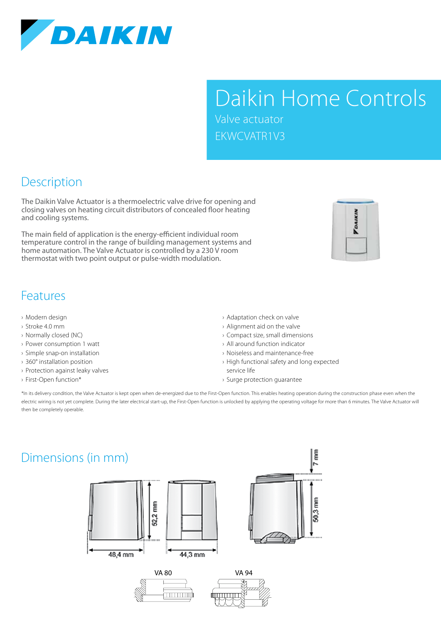

Valve actuator EKWCVATR1V3

## **Description**

The Daikin Valve Actuator is a thermoelectric valve drive for opening and closing valves on heating circuit distributors of concealed floor heating and cooling systems.

The main field of application is the energy-efficient individual room temperature control in the range of building management systems and home automation. The Valve Actuator is controlled by a 230 V room thermostat with two point output or pulse-width modulation.

|  | š |  |
|--|---|--|
|  |   |  |
|  |   |  |
|  |   |  |
|  |   |  |
|  |   |  |

### Features

- › Modern design
- › Stroke 4.0 mm
- › Normally closed (NC)
- › Power consumption 1 watt
- › Simple snap-on installation
- › 360° installation position
- › Protection against leaky valves
- › First-Open function\*
- › Adaptation check on valve
- › Alignment aid on the valve
- › Compact size, small dimensions
- › All around function indicator
- › Noiseless and maintenance-free
- › High functional safety and long expected service life
- › Surge protection guarantee

\*In its delivery condition, the Valve Actuator is kept open when de-energized due to the First-Open function. This enables heating operation during the construction phase even when the electric wiring is not yet complete. During the later electrical start-up, the First-Open function is unlocked by applying the operating voltage for more than 6 minutes. The Valve Actuator will then be completely operable.

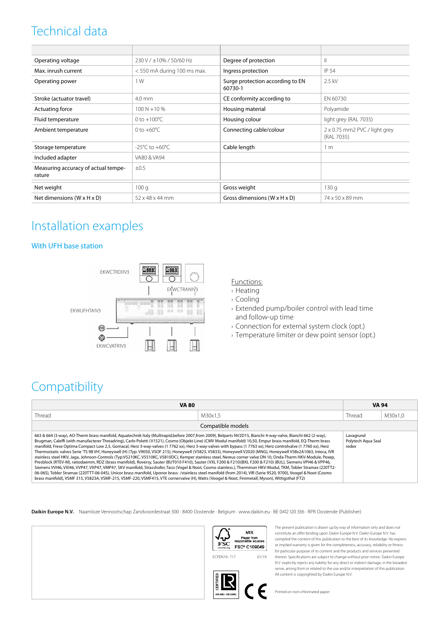| Operating voltage                             | 230 V / ±10% / 50/60 Hz            | Degree of protection                        | $\mathbb{I}$                                |
|-----------------------------------------------|------------------------------------|---------------------------------------------|---------------------------------------------|
| Max. inrush current                           | < 550 mA during 100 ms max.        | Ingress protection                          | IP 54                                       |
| Operating power                               | 1 W                                | Surge protection according to EN<br>60730-1 | 2.5 kV                                      |
| Stroke (actuator travel)                      | 4.0 mm                             | CE conformity according to                  | EN 60730                                    |
| Actuating force                               | $100 N + 10 \%$                    | Housing material                            | Polyamide                                   |
| Fluid temperature                             | 0 to $+100^{\circ}$ C              | Housing colour                              | light grey (RAL 7035)                       |
| Ambient temperature                           | 0 to $+60^{\circ}$ C               | Connecting cable/colour                     | 2 x 0.75 mm2 PVC / light grey<br>(RAL 7035) |
| Storage temperature                           | $-25^{\circ}$ C to $+60^{\circ}$ C | Cable length                                | 1 <sub>m</sub>                              |
| Included adapter                              | VA80 & VA94                        |                                             |                                             |
| Measuring accuracy of actual tempe-<br>rature | $\pm 0.5$                          |                                             |                                             |
| Net weight                                    | 100q                               | Gross weight                                | 130q                                        |
| Net dimensions ( $W \times H \times D$ )      | $52 \times 48 \times 44$ mm        | Gross dimensions ( $W \times H \times D$ )  | 74 x 50 x 89 mm                             |

### Installation examples

### With UFH base station



#### Functions:

- › Heating
- › Cooling
- › Extended pump/boiler control with lead time and follow-up time
- › Connection for external system clock (opt.)
- › Temperature limiter or dew point sensor (opt.)

## **Compatibility**

| <b>VA 80</b>                                                                                                                                                                                                                                                                                                                                                                                                                                                                                                                                                                                                                                                                                                                                                                                                                                                                                                                                                                                                                                                                                                                                                                                                                                                                                                                                                                                                                                                                             |                                          |  | <b>VA 94</b> |  |
|------------------------------------------------------------------------------------------------------------------------------------------------------------------------------------------------------------------------------------------------------------------------------------------------------------------------------------------------------------------------------------------------------------------------------------------------------------------------------------------------------------------------------------------------------------------------------------------------------------------------------------------------------------------------------------------------------------------------------------------------------------------------------------------------------------------------------------------------------------------------------------------------------------------------------------------------------------------------------------------------------------------------------------------------------------------------------------------------------------------------------------------------------------------------------------------------------------------------------------------------------------------------------------------------------------------------------------------------------------------------------------------------------------------------------------------------------------------------------------------|------------------------------------------|--|--------------|--|
| Thread                                                                                                                                                                                                                                                                                                                                                                                                                                                                                                                                                                                                                                                                                                                                                                                                                                                                                                                                                                                                                                                                                                                                                                                                                                                                                                                                                                                                                                                                                   | M30x1,5                                  |  | M30x1,0      |  |
| Compatible models                                                                                                                                                                                                                                                                                                                                                                                                                                                                                                                                                                                                                                                                                                                                                                                                                                                                                                                                                                                                                                                                                                                                                                                                                                                                                                                                                                                                                                                                        |                                          |  |              |  |
| 663 & 664 (3-way), AO-Therm brass manifold, Aquatechnik Italy (Multirapid,before 2007,from 2009), Belparts NV2D15, Bianchi 4-way-valve, Bianchi 662 (2-way),<br>Brugman, Caleffi (with manufacterer Threadring), Carlo Poletti (V1521), Cosmo (Objekt-Line) (CMV Modul manifold) 10,50, Empur brass manifold, EQ-Therm brass<br>manifold, Frese Optima Compact Low 2,5, Gomacal, Herz 3-way-valves (17762 xx), Herz 3-way-valves with bypass (17763 xx), Herz controlvalve (17760 xx), Herz<br>Thermostatic valves Serie 'TS 98 VH', Honeywell (H) (Typ: V9050, VSOF 215), Honeywell (V5823, V5833), Honeywell V2020 (MNG), Honeywell V58x2A1063, Inteca, IVR<br>stainless steel HKV, Jaga, Johnson-Controls (Typ:V5210KC, V5510KC, V5810DC), Kemper stainless steel, Nereus corner valve DN 10, Onda-Therm HKV-Module, Pexep,<br>Presblock (RTEV-M), ratiodaemm, RDZ (brass manifold), Roversy, Sauter (BUT010 F410), Sauter (VXL F200 & F210)(BXL F200 & F210) (BUL), Siemens VPI46 & VPP46,<br>Siemens VVI46, VXI46, VVP47, VXP47, VMP47, SKV manifold, Strasshofer, Taco (Vogel & Noot, Cosmo stainless.), Therminon HKV-Modul, TKM, Tobler Stramax (220TT2-<br>06-06S), Tobler Stramax (220TTT-06-04S), Unicor brass manifold, Uponor brass-/stainless steel manifold (from 2014), VIR (Serie 9520, 9700), Voogel & Noot (Cosmo<br>brass manifold), VSMF 315, V5823A, VSMF-215, VSMF-220, VSMF415, VTE cornervalve (H), Watts (Voogel & Noot, Finimetall, Myson), Wittigsthal (FT2) | Lavagrund<br>Polytech Aqua Seal<br>redex |  |              |  |

Daikin Europe N.V. Naamloze Vennootschap Zandvoordestraat 300 · 8400 Oostende · Belgium · www.daikin.eu · BE 0412 120 336 · RPR Oostende (Publisher)



The present publication is drawn up by way of information only and does not constitute an offer binding upon Daikin Europe N.V. Daikin Europe N.V. has compiled the content of this publication to the best of its knowledge. No express or implied warranty is given for the completeness, accuracy, reliability or fitness for particular purpose of its content and the products and services presented therein. Specifications are subject to change without prior notice. Daikin Europe N.V. explicitly rejects any liability for any direct or indirect damage, in the broadest sense, arising from or related to the use and/or interpretation of this publication. All content is copyrighted by Daikin Europe N.V.



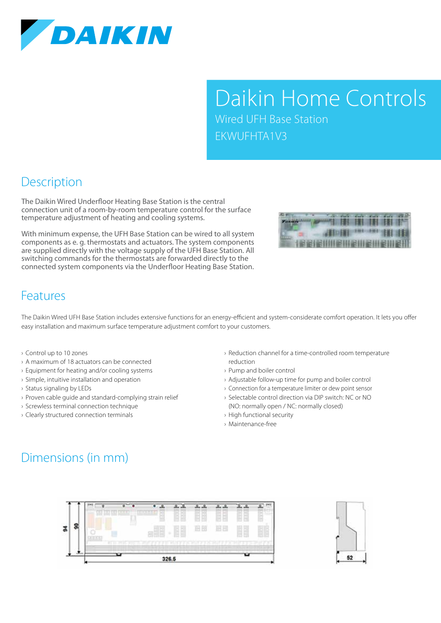

Wired UFH Base Station EKWUFHTA1V3

## **Description**

The Daikin Wired Underfloor Heating Base Station is the central connection unit of a room-by-room temperature control for the surface temperature adjustment of heating and cooling systems.

With minimum expense, the UFH Base Station can be wired to all system components as e. g. thermostats and actuators. The system components are supplied directly with the voltage supply of the UFH Base Station. All switching commands for the thermostats are forwarded directly to the connected system components via the Underfloor Heating Base Station.

|               | The thing that they want was the thing |  |  |  |
|---------------|----------------------------------------|--|--|--|
| <b>FOARIN</b> | <b>The Bandles of the Bandles</b>      |  |  |  |
|               | <b>NEED EEE AND AND THE IEEE</b>       |  |  |  |
|               |                                        |  |  |  |

### Features

The Daikin Wired UFH Base Station includes extensive functions for an energy-efficient and system-considerate comfort operation. It lets you offer easy installation and maximum surface temperature adjustment comfort to your customers.

#### › Control up to 10 zones

- › A maximum of 18 actuators can be connected
- › Equipment for heating and/or cooling systems
- › Simple, intuitive installation and operation
- › Status signaling by LEDs
- › Proven cable guide and standard-complying strain relief
- › Screwless terminal connection technique
- › Clearly structured connection terminals
- › Reduction channel for a time-controlled room temperature reduction
- › Pump and boiler control
- › Adjustable follow-up time for pump and boiler control
- › Connection for a temperature limiter or dew point sensor
- › Selectable control direction via DIP switch: NC or NO (NO: normally open / NC: normally closed)
- › High functional security
- › Maintenance-free

## Dimensions (in mm)